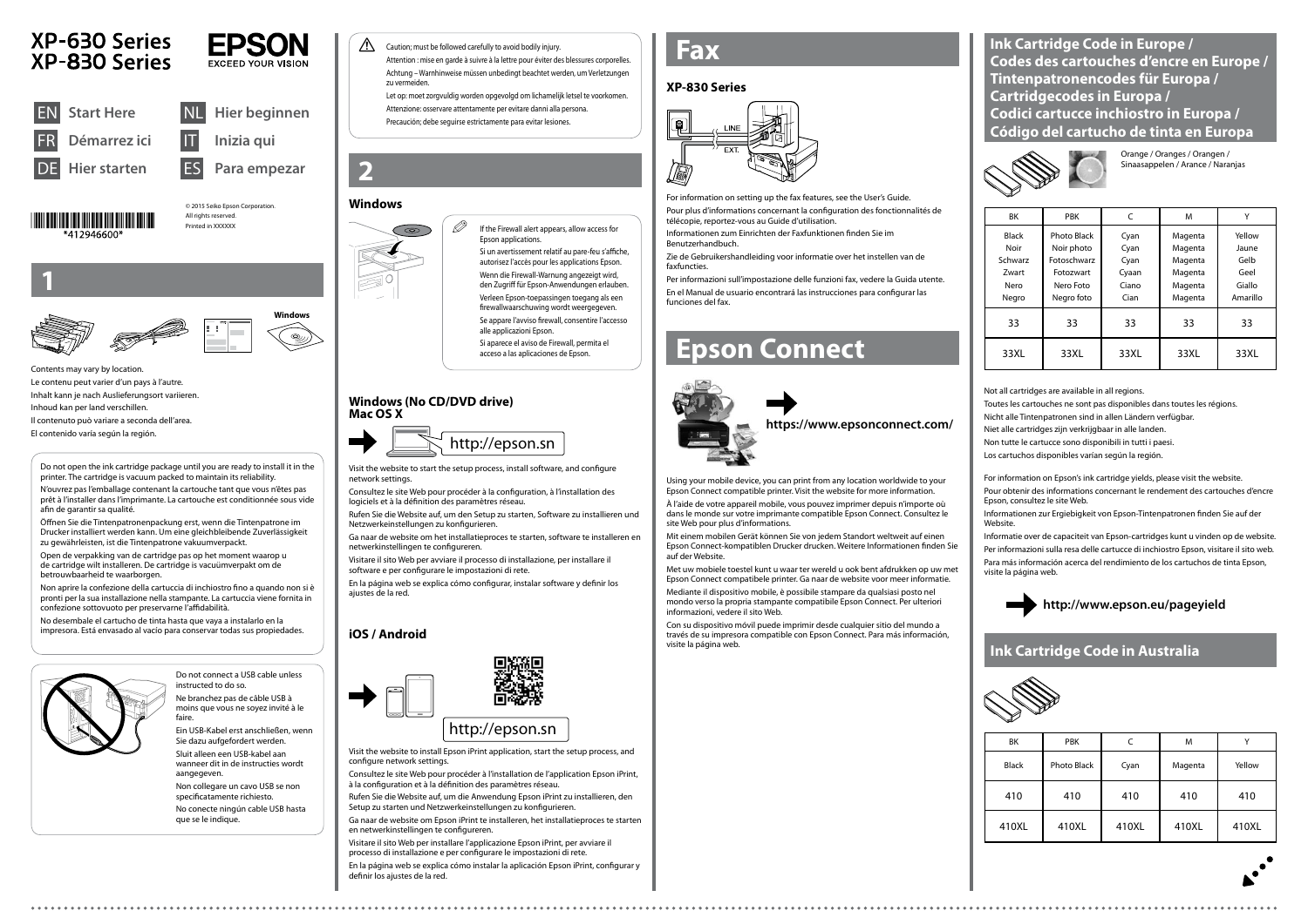



Do not connect a USB cable unless

instructed to do so. Ne branchez pas de câble USB à moins que vous ne soyez invité à le faire.

Ein USB-Kabel erst anschließen, wenn Sie dazu aufgefordert werden.





XP-630 Series

XP-830 Series

Sluit alleen een USB-kabel aan wanneer dit in de instructies wordt aangegeven.

Non collegare un cavo USB se non specificatamente richiesto. No conecte ningún cable USB hasta  $\oslash$  If the Firewall alert appears, allow access for Epson applications. Si un avertissement relatif au pare-feu s'affiche, autorisez l'accès pour les applications Epson.

que se le indique.

**1**

Contents may vary by location. Le contenu peut varier d'un pays à l'autre. Inhalt kann je nach Auslieferungsort variieren. Inhoud kan per land verschillen. Il contenuto può variare a seconda dell'area.

El contenido varía según la región.

Wenn die Firewall-Warnung angezeigt wird, den Zugriff für Epson-Anwendungen erlauben. Verleen Epson-toepassingen toegang als een firewallwaarschuwing wordt weergegeven. Se appare l'avviso firewall, consentire l'accesso

alle applicazioni Epson.

Si aparece el aviso de Firewall, permita el acceso a las aplicaciones de Epson.

Visit the website to start the setup process, install software, and configure network settings.

Consultez le site Web pour procéder à la configuration, à l'installation des logiciels et à la définition des paramètres réseau.

Rufen Sie die Website auf, um den Setup zu starten, Software zu installieren und Netzwerkeinstellungen zu konfigurieren.

Ga naar de website om het installatieproces te starten, software te installeren en netwerkinstellingen te configureren.

Visitare il sito Web per avviare il processo di installazione, per installare il software e per configurare le impostazioni di rete.

En la página web se explica cómo configurar, instalar software y definir los ajustes de la red.

# **Epson Connect**



Using your mobile device, you can print from any location worldwide to your Epson Connect compatible printer. Visit the website for more information.

À l'aide de votre appareil mobile, vous pouvez imprimer depuis n'importe où dans le monde sur votre imprimante compatible Epson Connect. Consultez le site Web pour plus d'informations.

Mit einem mobilen Gerät können Sie von jedem Standort weltweit auf einen Epson Connect-kompatiblen Drucker drucken. Weitere Informationen finden Sie auf der Website.

Met uw mobiele toestel kunt u waar ter wereld u ook bent afdrukken op uw met Epson Connect compatibele printer. Ga naar de website voor meer informatie.



Mediante il dispositivo mobile, è possibile stampare da qualsiasi posto nel mondo verso la propria stampante compatibile Epson Connect. Per ulteriori informazioni, vedere il sito Web.

Con su dispositivo móvil puede imprimir desde cualquier sitio del mundo a través de su impresora compatible con Epson Connect. Para más información, visite la página web.



**1** Caution; must be followed carefully to avoid bodily injury. Attention : mise en garde à suivre à la lettre pour éviter des blessures corporelles. Achtung – Warnhinweise müssen unbedingt beachtet werden, um Verletzungen zu vermeiden.

| <b>BK</b>            | <b>PBK</b>                | C            | M                  | v               |
|----------------------|---------------------------|--------------|--------------------|-----------------|
| <b>Black</b><br>Noir | Photo Black<br>Noir photo | Cyan<br>Cyan | Magenta<br>Magenta | Yellow<br>Jaune |
| Schwarz              | Fotoschwarz               | Cyan         | Magenta            | Gelb            |
| Zwart                | Fotozwart                 | Cyaan        | Magenta            | Geel            |
| Nero                 | Nero Foto                 | Ciano        | Magenta            | Giallo          |
| Negro                | Negro foto                | Cian         | Magenta            | Amarillo        |
| 33                   | 33                        | 33           | 33                 | 33              |
| 33XL                 | 33XL                      | 33XL         | 33XL               | 33XL            |

Orange / Oranges / Orangen / Sinaasappelen / Arance / Naranjas

Not all cartridges are available in all regions.

Toutes les cartouches ne sont pas disponibles dans toutes les régions.

Nicht alle Tintenpatronen sind in allen Ländern verfügbar.

Niet alle cartridges zijn verkrijgbaar in alle landen.

Non tutte le cartucce sono disponibili in tutti i paesi.

Los cartuchos disponibles varían según la región.

# **http://www.epson.eu/pageyield**

**Ink Cartridge Code in Europe / Codes des cartouches d'encre en Europe / Tintenpatronencodes für Europa / Cartridgecodes in Europa / Codici cartucce inchiostro in Europa / Código del cartucho de tinta en Europa**



Do not open the ink cartridge package until you are ready to install it in the printer. The cartridge is vacuum packed to maintain its reliability.

N'ouvrez pas l'emballage contenant la cartouche tant que vous n'êtes pas prêt à l'installer dans l'imprimante. La cartouche est conditionnée sous vide afin de garantir sa qualité.

Öffnen Sie die Tintenpatronenpackung erst, wenn die Tintenpatrone im Drucker installiert werden kann. Um eine gleichbleibende Zuverlässigkeit zu gewährleisten, ist die Tintenpatrone vakuumverpackt.

Open de verpakking van de cartridge pas op het moment waarop u de cartridge wilt installeren. De cartridge is vacuümverpakt om de betrouwbaarheid te waarborgen.

Non aprire la confezione della cartuccia di inchiostro fino a quando non si è pronti per la sua installazione nella stampante. La cartuccia viene fornita in confezione sottovuoto per preservarne l'affidabilità.

No desembale el cartucho de tinta hasta que vaya a instalarlo en la impresora. Está envasado al vacío para conservar todas sus propiedades.



# **Windows**



### **Windows (No CD/DVD drive) Mac OS X**

# **iOS / Android**



configure network settings.

Consultez le site Web pour procéder à l'installation de l'application Epson iPrint, à la configuration et à la définition des paramètres réseau.

Rufen Sie die Website auf, um die Anwendung Epson iPrint zu installieren, den Setup zu starten und Netzwerkeinstellungen zu konfigurieren.

Ga naar de website om Epson iPrint te installeren, het installatieproces te starten en netwerkinstellingen te configureren.

Visitare il sito Web per installare l'applicazione Epson iPrint, per avviare il processo di installazione e per configurare le impostazioni di rete.

En la página web se explica cómo instalar la aplicación Epson iPrint, configurar y definir los ajustes de la red.

Let op: moet zorgvuldig worden opgevolgd om lichamelijk letsel te voorkomen. Attenzione: osservare attentamente per evitare danni alla persona. Precaución; debe seguirse estrictamente para evitar lesiones.

© 2015 Seiko Epson Corporation. All rights reserved. Printed in XXXXXX

**EPSON** 

| BK           | <b>PBK</b>  |       | M       |        |
|--------------|-------------|-------|---------|--------|
| <b>Black</b> | Photo Black | Cyan  | Magenta | Yellow |
| 410          | 410         | 410   | 410     | 410    |
| 410XL        | 410XL       | 410XL | 410XL   | 410XL  |

# **Ink Cartridge Code in Australia**



# **Fax**

For information on setting up the fax features, see the User's Guide. Pour plus d'informations concernant la configuration des fonctionnalités de télécopie, reportez-vous au Guide d'utilisation.

Informationen zum Einrichten der Faxfunktionen finden Sie im Benutzerhandbuch.

Zie de Gebruikershandleiding voor informatie over het instellen van de faxfuncties.

Per informazioni sull'impostazione delle funzioni fax, vedere la Guida utente. En el Manual de usuario encontrará las instrucciones para configurar las funciones del fax.

For information on Epson's ink cartridge yields, please visit the website.

Pour obtenir des informations concernant le rendement des cartouches d'encre Epson, consultez le site Web.

Informationen zur Ergiebigkeit von Epson-Tintenpatronen finden Sie auf der Website.

Informatie over de capaciteit van Epson-cartridges kunt u vinden op de website. Per informazioni sulla resa delle cartucce di inchiostro Epson, visitare il sito web. Para más información acerca del rendimiento de los cartuchos de tinta Epson,

visite la página web.

### **XP-830 Series**

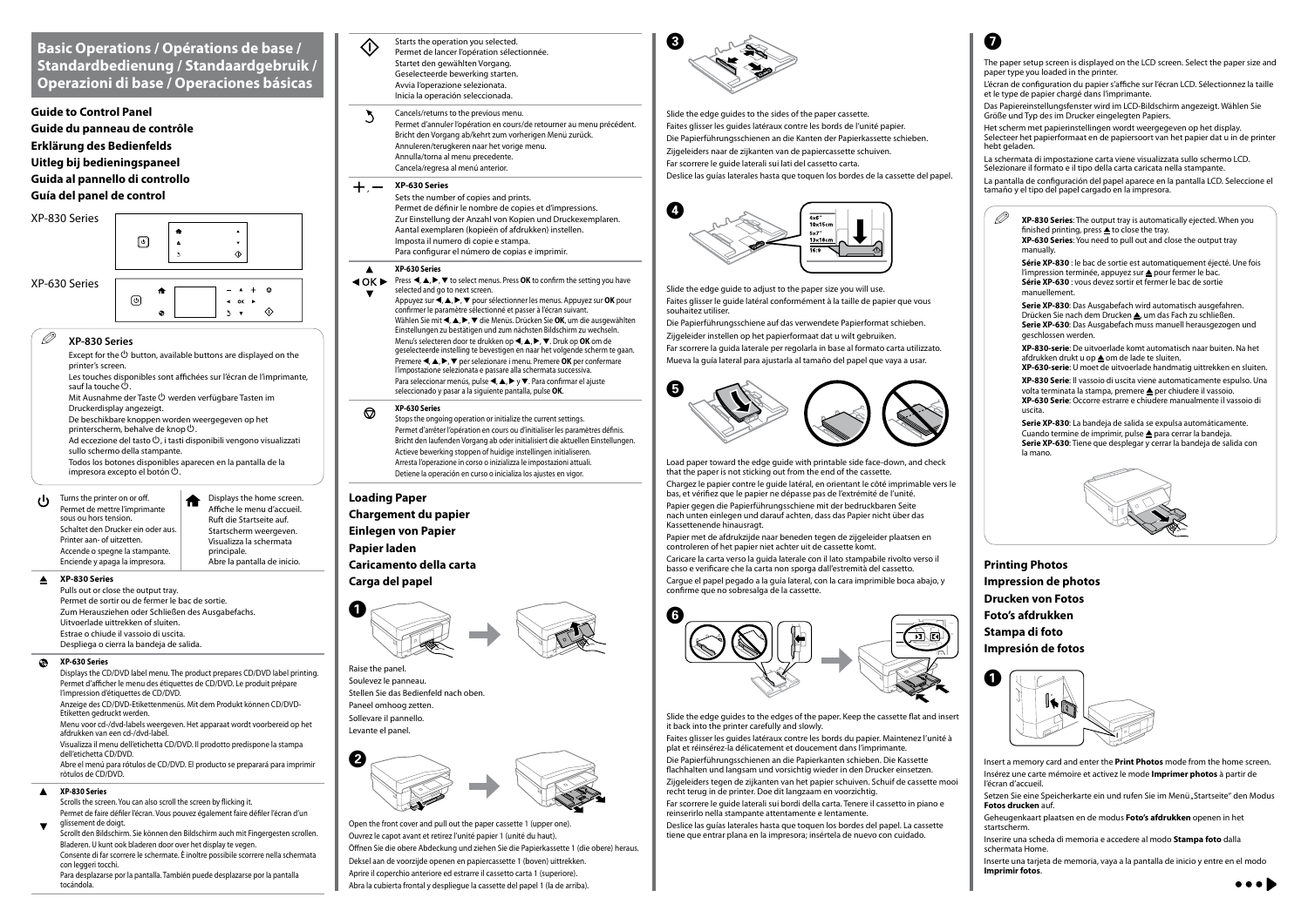# **Basic Operations / Opérations de base / Standardbedienung / Standaardgebruik / Operazioni di base / Operaciones básicas**

### **Guide to Control Panel**

**Guide du panneau de contrôle Erklärung des Bedienfelds Uitleg bij bedieningspaneel Guida al pannello di controllo Guía del panel de control**

#### $\blacktriangle$ **XP-830 Series**

Turns the printer on or off.  $\mathbf{d}$ Permet de mettre l'imprimante sous ou hors tension. Schaltet den Drucker ein oder aus. Printer aan- of uitzetten. Accende o spegne la stampante. Enciende y apaga la impresora.

#### $\bullet$ **XP-630 Series**

Displays the home screen. Affiche le menu d'accueil. Ruft die Startseite auf. Startscherm weergeven. Visualizza la schermata principale. Abre la pantalla de inicio.

 $\Diamond$ 

#### $\blacktriangle$ **XP-830 Series**

Pulls out or close the output tray. Permet de sortir ou de fermer le bac de sortie. Zum Herausziehen oder Schließen des Ausgabefachs. Uitvoerlade uittrekken of sluiten. Estrae o chiude il vassoio di uscita. Despliega o cierra la bandeja de salida.

Scrollt den Bildschirm. Sie können den Bildschirm auch mit Fingergesten scrollen. Bladeren. U kunt ook bladeren door over het display te vegen. Consente di far scorrere le schermate. È inoltre possibile scorrere nella schermata con leggeri tocchi.

Displays the CD/DVD label menu. The product prepares CD/DVD label printing. Permet d'afficher le menu des étiquettes de CD/DVD. Le produit prépare l'impression d'étiquettes de CD/DVD. Anzeige des CD/DVD-Etikettenmenüs. Mit dem Produkt können CD/DVD-

#### Cancels/returns to the previous menu.  $\sum$

Etiketten gedruckt werden.

#### $+,-$ **XP-630 Series**

Menu voor cd-/dvd-labels weergeven. Het apparaat wordt voorbereid op het afdrukken van een cd-/dvd-label.

Visualizza il menu dell'etichetta CD/DVD. Il prodotto predispone la stampa dell'etichetta CD/DVD. Abre el menú para rótulos de CD/DVD. El producto se preparará para imprimir

#### **XP-630 Series**  $\blacktriangle$

**EXALCISE III.** Press <, ▲, ▶, ▼ to select menus. Press OK to confirm the setting you have selected and go to next screen.

rótulos de CD/DVD.

Scrolls the screen. You can also scroll the screen by flicking it. Permet de faire défiler l'écran. Vous pouvez également faire défiler l'écran d'un glissement de doigt.

Appuyez sur **< |, △, ▶, ▼** pour sélectionner les menus. Appuyez sur OK pour confirmer le paramètre sélectionné et passer à l'écran suivant. Wählen Sie mit <, ▲, ▶, ▼ die Menüs. Drücken Sie OK, um die ausgewählten Einstellungen zu bestätigen und zum nächsten Bildschirm zu wechseln. Menu's selecteren door te drukken op **4**, **A**,  $\blacktriangleright$ ,  $\nabla$ . Druk op **OK** om de geselecteerde instelling te bevestigen en naar het volgende scherm te gaan. Premere **4, A, F, V** per selezionare i menu. Premere **OK** per confermare l'impostazione selezionata e passare alla schermata successiva. Para seleccionar menús, pulse  $\blacktriangle, \blacktriangle, \blacktriangleright$  y  $\nabla$ . Para confirmar el ajuste seleccionado y pasar a la siguiente pantalla, pulse **OK**.

#### **XP-630 Series**  $\circledcirc$

Para desplazarse por la pantalla. También puede desplazarse por la pantalla tocándola.

Starts the operation you selected. <) Permet de lancer l'opération sélectionnée. Startet den gewählten Vorgang. Geselecteerde bewerking starten. Avvia l'operazione selezionata. Inicia la operación seleccionada.

Permet d'annuler l'opération en cours/de retourner au menu précédent. Bricht den Vorgang ab/kehrt zum vorherigen Menü zurück. Annuleren/terugkeren naar het vorige menu. Annulla/torna al menu precedente. Cancela/regresa al menú anterior.

Sets the number of copies and prints. Permet de définir le nombre de copies et d'impressions. Zur Einstellung der Anzahl von Kopien und Druckexemplaren. Aantal exemplaren (kopieën of afdrukken) instellen. Imposta il numero di copie e stampa. Para configurar el número de copias e imprimir.

Stops the ongoing operation or initialize the current settings. Permet d'arrêter l'opération en cours ou d'initialiser les paramètres définis. Bricht den laufenden Vorgang ab oder initialisiert die aktuellen Einstellungen. Actieve bewerking stoppen of huidige instellingen initialiseren. Arresta l'operazione in corso o inizializza le impostazioni attuali. Detiene la operación en curso o inicializa los ajustes en vigor.

### **Loading Paper**

**Chargement du papier Einlegen von Papier Papier laden Caricamento della carta Carga del papel**







Raise the panel. Soulevez le panneau. Stellen Sie das Bedienfeld nach oben. Paneel omhoog zetten. Sollevare il pannello. Levante el panel.

**XP-830-serie**: De uitvoerlade komt automatisch naar buiten. Na het afdrukken drukt u op **om** de lade te sluiten.

Open the front cover and pull out the paper cassette 1 (upper one). Ouvrez le capot avant et retirez l'unité papier 1 (unité du haut). Öffnen Sie die obere Abdeckung und ziehen Sie die Papierkassette 1 (die obere) heraus. Deksel aan de voorzijde openen en papiercassette 1 (boven) uittrekken. Aprire il coperchio anteriore ed estrarre il cassetto carta 1 (superiore). Abra la cubierta frontal y despliegue la cassette del papel 1 (la de arriba).



Slide the edge guides to the sides of the paper cassette. Faites glisser les guides latéraux contre les bords de l'unité papier. Die Papierführungsschienen an die Kanten der Papierkassette schieben. Zijgeleiders naar de zijkanten van de papiercassette schuiven. Far scorrere le guide laterali sui lati del cassetto carta. Deslice las guías laterales hasta que toquen los bordes de la cassette del papel.



Slide the edge guide to adjust to the paper size you will use. Faites glisser le guide latéral conformément à la taille de papier que vous souhaitez utiliser.

Die Papierführungsschiene auf das verwendete Papierformat schieben. Zijgeleider instellen op het papierformaat dat u wilt gebruiken. Far scorrere la guida laterale per regolarla in base al formato carta utilizzato. Mueva la guía lateral para ajustarla al tamaño del papel que vaya a usar.



Load paper toward the edge guide with printable side face-down, and check that the paper is not sticking out from the end of the cassette.

Chargez le papier contre le guide latéral, en orientant le côté imprimable vers le bas, et vérifiez que le papier ne dépasse pas de l'extrémité de l'unité.

Papier gegen die Papierführungsschiene mit der bedruckbaren Seite nach unten einlegen und darauf achten, dass das Papier nicht über das Kassettenende hinausragt.

Papier met de afdrukzijde naar beneden tegen de zijgeleider plaatsen en controleren of het papier niet achter uit de cassette komt.

Caricare la carta verso la guida laterale con il lato stampabile rivolto verso il basso e verificare che la carta non sporga dall'estremità del cassetto.

Cargue el papel pegado a la guía lateral, con la cara imprimible boca abajo, y confirme que no sobresalga de la cassette.



Slide the edge guides to the edges of the paper. Keep the cassette flat and insert it back into the printer carefully and slowly.

Faites glisser les guides latéraux contre les bords du papier. Maintenez l'unité à plat et réinsérez-la délicatement et doucement dans l'imprimante.

Die Papierführungsschienen an die Papierkanten schieben. Die Kassette flachhalten und langsam und vorsichtig wieder in den Drucker einsetzen.

Zijgeleiders tegen de zijkanten van het papier schuiven. Schuif de cassette mooi recht terug in de printer. Doe dit langzaam en voorzichtig.

Far scorrere le guide laterali sui bordi della carta. Tenere il cassetto in piano e reinserirlo nella stampante attentamente e lentamente.

Deslice las guías laterales hasta que toquen los bordes del papel. La cassette tiene que entrar plana en la impresora; insértela de nuevo con cuidado.

**Printing Photos Impression de photos Drucken von Fotos Foto's afdrukken Stampa di foto Impresión de fotos**



- Insert a memory card and enter the **Print Photos** mode from the home screen. Insérez une carte mémoire et activez le mode **Imprimer photos** à partir de l'écran d'accueil.
- Setzen Sie eine Speicherkarte ein und rufen Sie im Menü "Startseite" den Modus **Fotos drucken** auf.
- Geheugenkaart plaatsen en de modus **Foto's afdrukken** openen in het startscherm.
- Inserire una scheda di memoria e accedere al modo **Stampa foto** dalla schermata Home.
- Inserte una tarjeta de memoria, vaya a la pantalla de inicio y entre en el modo **Imprimir fotos**.





**Série XP-830** : le bac de sortie est automatiquement éjecté. Une fois l'impression terminée, appuyez sur **e** pour fermer le bac. **Série XP-630** : vous devez sortir et fermer le bac de sortie manuellement.

**Serie XP-830**: Das Ausgabefach wird automatisch ausgefahren. Drücken Sie nach dem Drucken ▲, um das Fach zu schließen. **Serie XP-630**: Das Ausgabefach muss manuell herausgezogen und geschlossen werden.

**XP-630-serie**: U moet de uitvoerlade handmatig uittrekken en sluiten. **XP-830 Serie**: Il vassoio di uscita viene automaticamente espulso. Una volta terminata la stampa, premere **e** per chiudere il vassoio. **XP-630 Serie**: Occorre estrarre e chiudere manualmente il vassoio di uscita.

**Serie XP-830**: La bandeja de salida se expulsa automáticamente. Cuando termine de imprimir, pulse **A** para cerrar la bandeja. **Serie XP-630**: Tiene que desplegar y cerrar la bandeja de salida con la mano.



### XP-830 Series





- The paper setup screen is displayed on the LCD screen. Select the paper size and paper type you loaded in the printer.
- L'écran de configuration du papier s'affiche sur l'écran LCD. Sélectionnez la taille et le type de papier chargé dans l'imprimante.
- Das Papiereinstellungsfenster wird im LCD-Bildschirm angezeigt. Wählen Sie Größe und Typ des im Drucker eingelegten Papiers.
- Het scherm met papierinstellingen wordt weergegeven op het display. Selecteer het papierformaat en de papiersoort van het papier dat u in de printer hebt geladen.
- La schermata di impostazione carta viene visualizzata sullo schermo LCD. Selezionare il formato e il tipo della carta caricata nella stampante.
- La pantalla de configuración del papel aparece en la pantalla LCD. Seleccione el tamaño y el tipo del papel cargado en la impresora.

### Q **XP-830 Series**

Except for the  $\circledcirc$  button, available buttons are displayed on the printer's screen. Les touches disponibles sont affichées sur l'écran de l'imprimante, sauf la touche <sup>ල</sup> Mit Ausnahme der Taste  $\mathcal O$  werden verfügbare Tasten im Druckerdisplay angezeigt. De beschikbare knoppen worden weergegeven op het printerscherm, behalve de knop  $\mathcal O$ . Ad eccezione del tasto  $\mathcal{O}$ , i tasti disponibili vengono visualizzati sullo schermo della stampante. Todos los botones disponibles aparecen en la pantalla de la impresora excepto el botón  $\mathcal{O}$ .

合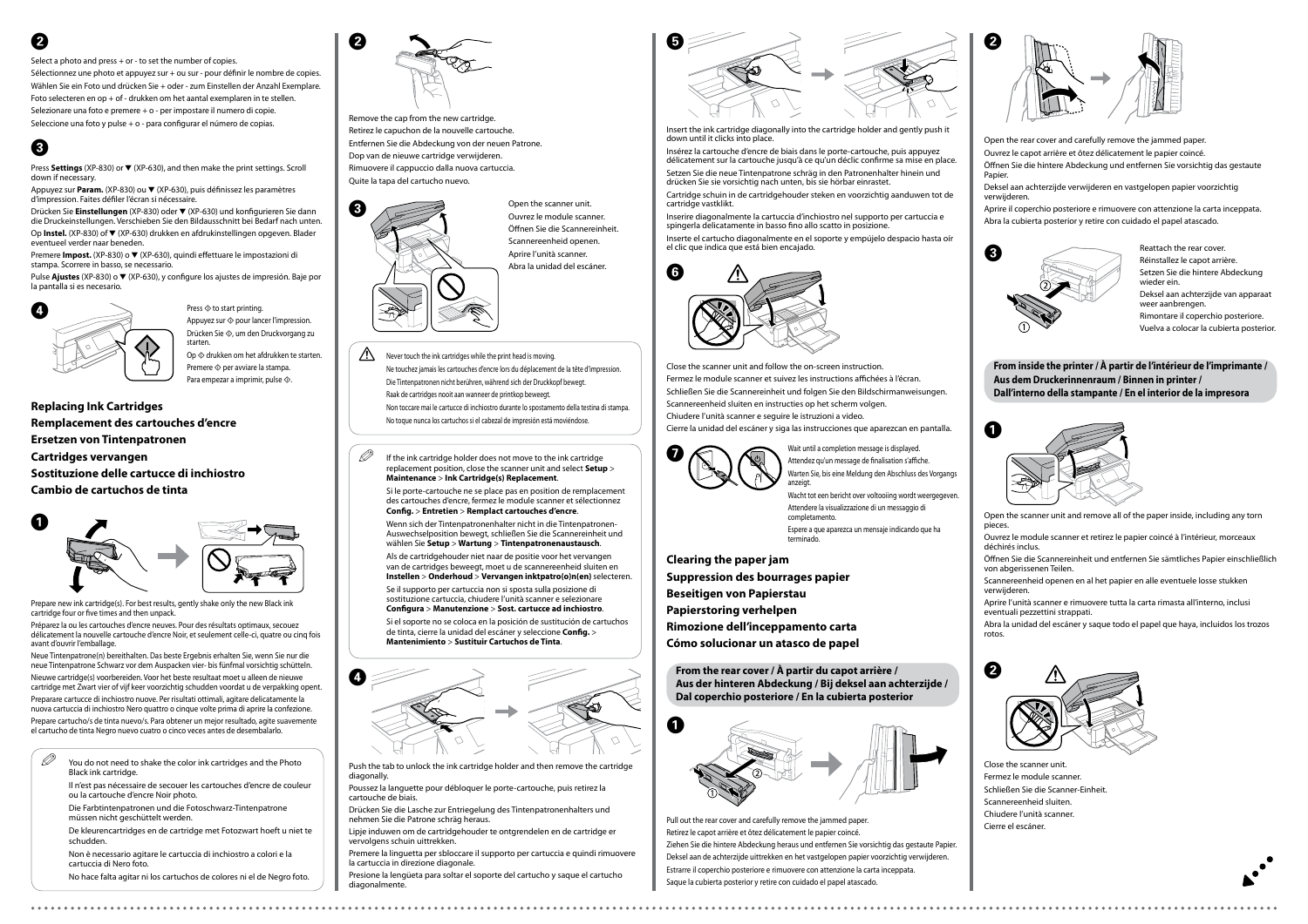











**Replacing Ink Cartridges Remplacement des cartouches d'encre Ersetzen von Tintenpatronen Cartridges vervangen Sostituzione delle cartucce di inchiostro Cambio de cartuchos de tinta**

Prepare new ink cartridge(s). For best results, gently shake only the new Black inl cartridge four or five times and then unpack.

Préparez la ou les cartouches d'encre neuves. Pour des résultats optimaux, secouez délicatement la nouvelle cartouche d'encre Noir, et seulement celle-ci, quatre ou cinq fois avant d'ouvrir l'emballage.

Neue Tintenpatrone(n) bereithalten. Das beste Ergebnis erhalten Sie, wenn Sie nur die neue Tintenpatrone Schwarz vor dem Auspacken vier- bis fünfmal vorsichtig schütteln. Nieuwe cartridge(s) voorbereiden. Voor het beste resultaat moet u alleen de nieuwe cartridge met Zwart vier of vijf keer voorzichtig schudden voordat u de verpakking opent. Preparare cartucce di inchiostro nuove. Per risultati ottimali, agitare delicatamente la nuova cartuccia di inchiostro Nero quattro o cinque volte prima di aprire la confezione. Prepare cartucho/s de tinta nuevo/s. Para obtener un mejor resultado, agite suavemente el cartucho de tinta Negro nuevo cuatro o cinco veces antes de desembalarlo.

Open the scanner unit.

Ouvrez le module scanner. Öffnen Sie die Scannereinheit. Scannereenheid openen. Aprire l'unità scanner. Abra la unidad del escáner.

Remove the cap from the new cartridge. Retirez le capuchon de la nouvelle cartouche. Entfernen Sie die Abdeckung von der neuen Patrone. Dop van de nieuwe cartridge verwijderen. Rimuovere il cappuccio dalla nuova cartuccia. Quite la tapa del cartucho nuevo.

Insert the ink cartridge diagonally into the cartridge holder and gently push it down until it clicks into place.

Insérez la cartouche d'encre de biais dans le porte-cartouche, puis appuyez délicatement sur la cartouche jusqu'à ce qu'un déclic confirme sa mise en place. Setzen Sie die neue Tintenpatrone schräg in den Patronenhalter hinein und drücken Sie sie vorsichtig nach unten, bis sie hörbar einrastet.

Cartridge schuin in de cartridgehouder steken en voorzichtig aanduwen tot de cartridge vastklikt.

Inserire diagonalmente la cartuccia d'inchiostro nel supporto per cartuccia e spingerla delicatamente in basso fino allo scatto in posizione.

Inserte el cartucho diagonalmente en el soporte y empújelo despacio hasta oír el clic que indica que está bien encajado.

Close the scanner unit and follow the on-screen instruction. Fermez le module scanner et suivez les instructions affichées à l'écran. Schließen Sie die Scannereinheit und folgen Sie den Bildschirmanweisungen. Scannereenheid sluiten en instructies op het scherm volgen. Chiudere l'unità scanner e seguire le istruzioni a video. Cierre la unidad del escáner y siga las instrucciones que aparezcan en pantalla.



Wait until a completion message is displayed.<br>Attendez qu'un message de finalisation s'affiche. Warten Sie, bis eine Meldung den Abschluss des Vorgangs anzeigt.

 $\mathscr{D}$  You do not need to shake the color ink cartridges and the Photo Black ink cartridge.

**Clearing the paper jam Suppression des bourrages papier Beseitigen von Papierstau Papierstoring verhelpen Rimozione dell'inceppamento carta Cómo solucionar un atasco de papel**

 $\mathscr{D}$  If the ink cartridge holder does not move to the ink cartridge replacement position, close the scanner unit and select **Setup** > **Maintenance** > **Ink Cartridge(s) Replacement**.

> Pull out the rear cover and carefully remove the jammed paper. Retirez le capot arrière et ôtez délicatement le papier coincé. Ziehen Sie die hintere Abdeckung heraus und entfernen Sie vorsichtig das gestaute Papier. Deksel aan de achterzijde uittrekken en het vastgelopen papier voorzichtig verwijderen. Estrarre il coperchio posteriore e rimuovere con attenzione la carta inceppata. Saque la cubierta posterior y retire con cuidado el papel atascado.

- Open the rear cover and carefully remove the jammed paper.
- Ouvrez le capot arrière et ôtez délicatement le papier coincé.
- Öffnen Sie die hintere Abdeckung und entfernen Sie vorsichtig das gestaute Papier.
- Deksel aan achterzijde verwijderen en vastgelopen papier voorzichtig verwijderen.
- Aprire il coperchio posteriore e rimuovere con attenzione la carta inceppata. Abra la cubierta posterior y retire con cuidado el papel atascado.

 $\bigwedge$  Never touch the ink cartridges while the print head is moving. Ne touchez jamais les cartouches d'encre lors du déplacement de la tête d'impression. Die Tintenpatronen nicht berühren, während sich der Druckkopf bewegt. Raak de cartridges nooit aan wanneer de printkop beweegt. Non toccare mai le cartucce di inchiostro durante lo spostamento della testina di stampa. No toque nunca los cartuchos si el cabezal de impresión está moviéndose.

Press **Settings** (XP-830) or ▼ (XP-630), and then make the print settings. Scroll down if necessary.

> Reattach the rear cover. Réinstallez le capot arrière. Setzen Sie die hintere Abdeckung wieder ein. Deksel aan achterzijde van apparaat weer aanbrengen Rimontare il coperchio posteriore. Vuelva a colocar la cubierta posterior.

Appuyez sur **Param.** (XP-830) ou ▼ (XP-630), puis définissez les paramètres d'impression. Faites défiler l'écran si nécessaire.







Drücken Sie **Einstellungen** (XP-830) oder ▼ (XP-630) und konfigurieren Sie dann die Druckeinstellungen. Verschieben Sie den Bildausschnitt bei Bedarf nach unten. Op **Instel.** (XP-830) of ▼ (XP-630) drukken en afdrukinstellingen opgeven. Blader eventueel verder naar beneden.

> **From the rear cover / À partir du capot arrière / Aus der hinteren Abdeckung / Bij deksel aan achterzijde / Dal coperchio posteriore / En la cubierta posterior**

Premere **Impost.** (XP-830) o ▼ (XP-630), quindi effettuare le impostazioni di stampa. Scorrere in basso, se necessario.



Pulse **Ajustes** (XP-830) o ▼ (XP-630), y configure los ajustes de impresión. Baje por la pantalla si es necesario.



- Open the scanner unit and remove all of the paper inside, including any torn pieces.
- Ouvrez le module scanner et retirez le papier coincé à l'intérieur, morceaux déchirés inclus.
- Öffnen Sie die Scannereinheit und entfernen Sie sämtliches Papier einschließlich von abgerissenen Teilen.
- Scannereenheid openen en al het papier en alle eventuele losse stukken verwijderen.
- Aprire l'unità scanner e rimuovere tutta la carta rimasta all'interno, inclusi eventuali pezzettini strappati.
- Abra la unidad del escáner y saque todo el papel que haya, incluidos los trozos rotos.



- Close the scanner unit.
- Fermez le module scanner.
- Schließen Sie die Scanner-Einheit.
- Scannereenheid sluiten.
- Chiudere l'unità scanner.
- Cierre el escáner.



Il n'est pas nécessaire de secouer les cartouches d'encre de couleur ou la cartouche d'encre Noir photo.

Die Farbtintenpatronen und die Fotoschwarz-Tintenpatrone müssen nicht geschüttelt werden.

De kleurencartridges en de cartridge met Fotozwart hoeft u niet te schudden.

Non è necessario agitare le cartuccia di inchiostro a colori e la cartuccia di Nero foto.

No hace falta agitar ni los cartuchos de colores ni el de Negro foto.

Si le porte-cartouche ne se place pas en position de remplacement des cartouches d'encre, fermez le module scanner et sélectionnez **Config.** > **Entretien** > **Remplact cartouches d'encre**.

Wenn sich der Tintenpatronenhalter nicht in die Tintenpatronen-Auswechselposition bewegt, schließen Sie die Scannereinheit und wählen Sie **Setup** > **Wartung** > **Tintenpatronenaustausch**. Als de cartridgehouder niet naar de positie voor het vervangen van de cartridges beweegt, moet u de scannereenheid sluiten en **Instellen** > **Onderhoud** > **Vervangen inktpatro(o)n(en)** selecteren.

Se il supporto per cartuccia non si sposta sulla posizione di sostituzione cartuccia, chiudere l'unità scanner e selezionare **Configura** > **Manutenzione** > **Sost. cartucce ad inchiostro**.

Si el soporte no se coloca en la posición de sustitución de cartuchos de tinta, cierre la unidad del escáner y seleccione **Config.** > **Mantenimiento** > **Sustituir Cartuchos de Tinta**.

Push the tab to unlock the ink cartridge holder and then remove the cartridge diagonally.

Poussez la languette pour débloquer le porte-cartouche, puis retirez la cartouche de biais.

Drücken Sie die Lasche zur Entriegelung des Tintenpatronenhalters und nehmen Sie die Patrone schräg heraus.

Lipje induwen om de cartridgehouder te ontgrendelen en de cartridge er vervolgens schuin uittrekken.

Premere la linguetta per sbloccare il supporto per cartuccia e quindi rimuovere la cartuccia in direzione diagonale.

Presione la lengüeta para soltar el soporte del cartucho y saque el cartucho diagonalmente.

# C



Press  $\diamondsuit$  to start printing Appuyez sur  $\otimes$  pour lancer l'impression. Drücken Sie x, um den Druckvorgang zu starten. Op  $\otimes$  drukken om het afdrukken te starten. Premere  $\otimes$  per avviare la stampa.

Para empezar a imprimir, pulse  $\otimes$ .

# B

Select a photo and press + or - to set the number of copies.

Sélectionnez une photo et appuyez sur + ou sur - pour définir le nombre de copies. Wählen Sie ein Foto und drücken Sie + oder - zum Einstellen der Anzahl Exemplare. Foto selecteren en op + of - drukken om het aantal exemplaren in te stellen. Selezionare una foto e premere + o - per impostare il numero di copie. Seleccione una foto y pulse + o - para configurar el número de copias.

> Wacht tot een bericht over voltooiing wordt weergegeven. Attendere la visualizzazione di un messaggio di completamento.

Espere a que aparezca un mensaje indicando que ha terminado.